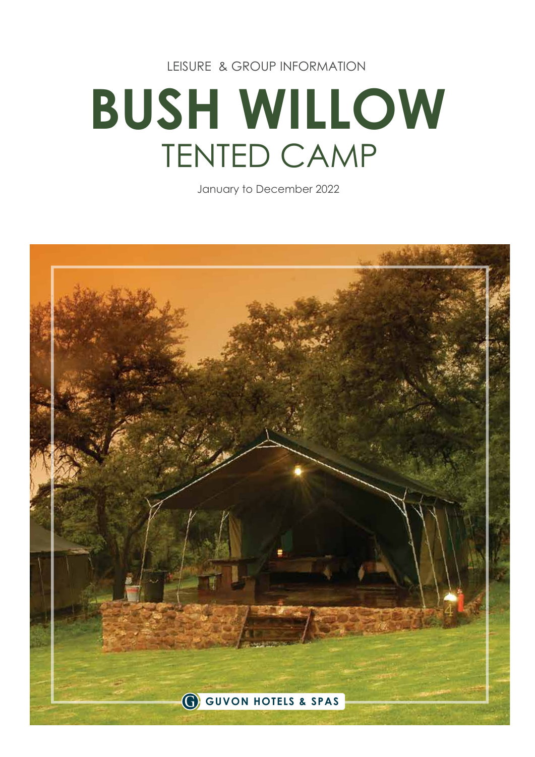LEISURE & GROUP INFORMATION

# **BUSH WILLOW** TENTED CAMP

January to December 2022

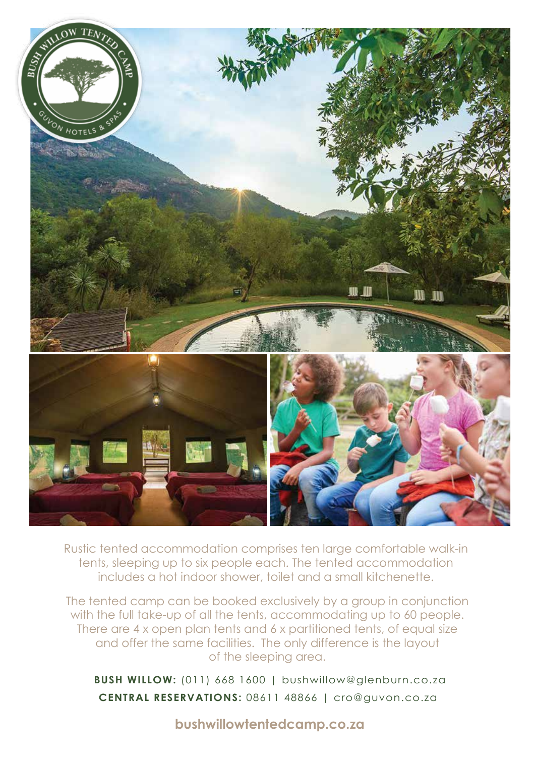

Rustic tented accommodation comprises ten large comfortable walk-in tents, sleeping up to six people each. The tented accommodation includes a hot indoor shower, toilet and a small kitchenette.

The tented camp can be booked exclusively by a group in conjunction with the full take-up of all the tents, accommodating up to 60 people. There are 4 x open plan tents and 6 x partitioned tents, of equal size and offer the same facilities. The only difference is the layout of the sleeping area.

**CENTRAL RESERVATIONS:** 08611 48866 | cro@guvon.co.za **BUSH WILLOW:** (011) 668 1600 | bushwillow@glenburn.co.za

**bushwillowtentedcamp.co.za**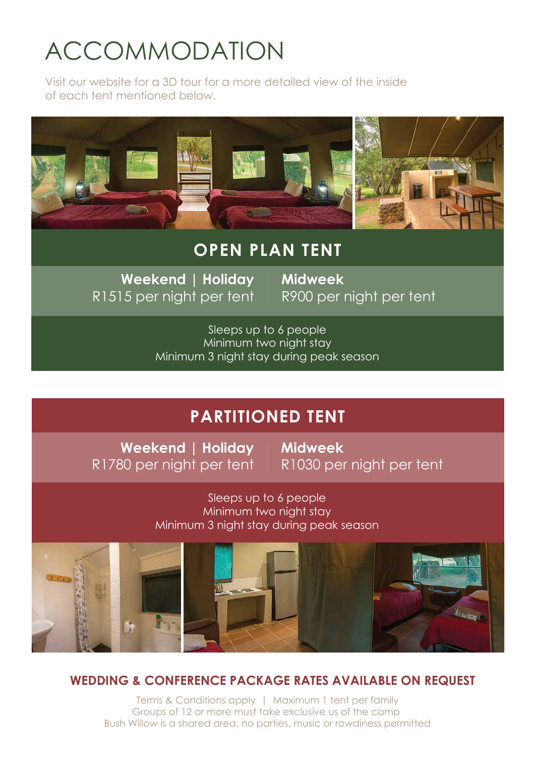### ACCOMMODATION

Visit our website for a 3D tour for a more detailed view of the inside of each tent mentioned below.



### **OPEN PLAN TENT**

**Weekend | Holiday** R1515 per night per tent **Midweek** R900 per night per tent

Sleeps up to 6 people Minimum two night stay Minimum 3 night stay during peak season

### **PARTITIONED TENT**

**Weekend | Holiday** R1780 per night per tent **Midweek** R1030 per night per tent

Sleeps up to 6 people Minimum two night stay Minimum 3 night stay during peak season



#### **WEDDING & CONFERENCE PACKAGE RATES AVAILABLE ON REQUEST**

Terms & Conditions apply | Maximum 1 tent per family Groups of 12 or more must take exclusive us of the camp Bush Willow is a shared area, no parties, music or rowdiness permitted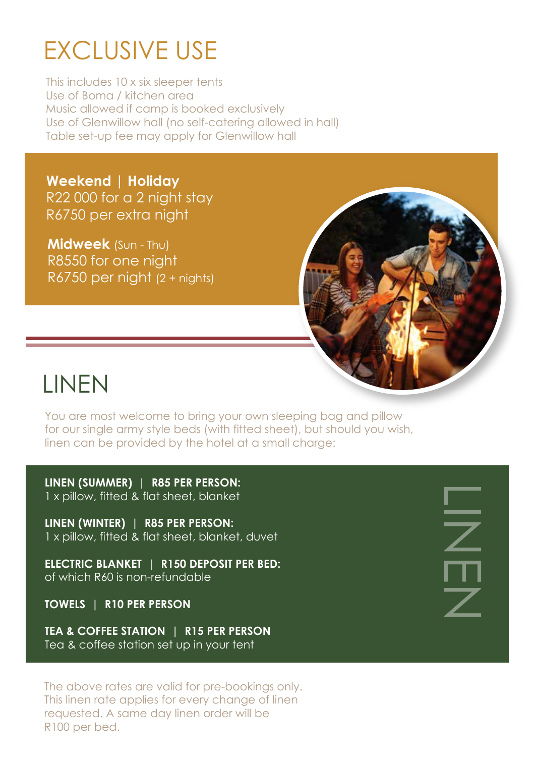### EXCLUSIVE USE

This includes 10 x six sleeper tents Use of Boma / kitchen area Music allowed if camp is booked exclusively Use of Glenwillow hall (no self-catering allowed in hall) Table set-up fee may apply for Glenwillow hall

**Weekend | Holiday** R22 000 for a 2 night stay R6750 per extra night

**Midweek** (Sun - Thu) R8550 for one night R6750 per night (2 + nights)



### LINEN

You are most welcome to bring your own sleeping bag and pillow for our single army style beds (with fitted sheet), but should you wish, linen can be provided by the hotel at a small charge:

**LINEN (SUMMER) | R85 PER PERSON:** 1 x pillow, fitted & flat sheet, blanket

**LINEN (WINTER) | R85 PER PERSON:** 1 x pillow, fitted & flat sheet, blanket, duvet

**ELECTRIC BLANKET | R150 DEPOSIT PER BED:** of which R60 is non-refundable

**TOWELS | R10 PER PERSON**

**TEA & COFFEE STATION | R15 PER PERSON** Tea & coffee station set up in your tent

The above rates are valid for pre-bookings only. This linen rate applies for every change of linen requested. A same day linen order will be R100 per bed.

L<br>N<br>Z<br>N<br>Z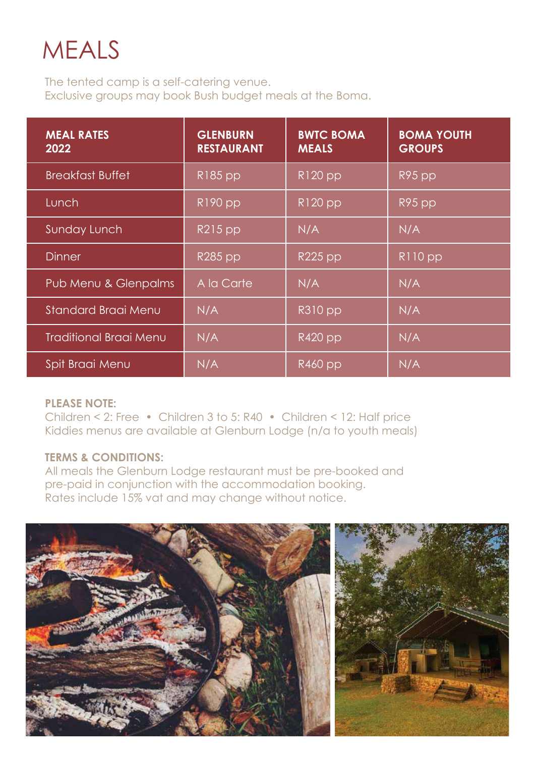### MEALS

The tented camp is a self-catering venue. Exclusive groups may book Bush budget meals at the Boma.

| <b>MEAL RATES</b><br>2022     | <b>GLENBURN</b><br><b>RESTAURANT</b> | <b>BWTC BOMA</b><br><b>MEALS</b> | <b>BOMA YOUTH</b><br><b>GROUPS</b> |
|-------------------------------|--------------------------------------|----------------------------------|------------------------------------|
| <b>Breakfast Buffet</b>       | R185 pp                              | $R120$ pp                        | R95 pp                             |
| Lunch                         | $R190$ pp                            | $R120$ pp                        | R95 pp                             |
| Sunday Lunch                  | $R215$ pp                            | N/A                              | N/A                                |
| <b>Dinner</b>                 | R285 pp                              | <b>R225 pp</b>                   | $R110$ pp                          |
| Pub Menu & Glenpalms          | A la Carte                           | N/A                              | N/A                                |
| Standard Braai Menu           | N/A                                  | $R310$ pp                        | N/A                                |
| <b>Traditional Braai Menu</b> | N/A                                  | $R\overline{420}$ pp             | N/A                                |
| <b>Spit Braai Menu</b>        | N/A                                  | R460 pp                          | N/A                                |

#### **PLEASE NOTE:**

Children < 2: Free • Children 3 to 5: R40 • Children < 12: Half price Kiddies menus are available at Glenburn Lodge (n/a to youth meals)

#### **TERMS & CONDITIONS:**

All meals the Glenburn Lodge restaurant must be pre-booked and pre-paid in conjunction with the accommodation booking. Rates include 15% vat and may change without notice.

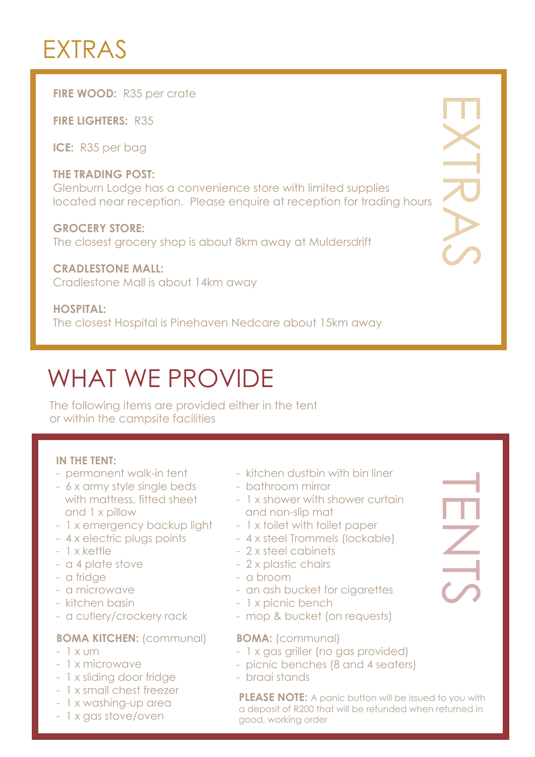### EXTRAS

#### **FIRE WOOD: R35 per crate**

**FIRE LIGHTERS:** R35

**ICE:** R35 per bag

#### **THE TRADING POST:** Glenburn Lodge has a convenience store with limited supplies located near reception. Please enquire at reception for trading hours

**GROCERY STORE:** The closest grocery shop is about 8km away at Muldersdrift

#### **CRADLESTONE MALL:** Cradlestone Mall is about 14km away

#### **HOSPITAL:**

The closest Hospital is Pinehaven Nedcare about 15km away

### WHAT WE PROVIDE

The following items are provided either in the tent or within the campsite facilities

#### **IN THE TENT:**

- permanent walk-in tent
- 6 x army style single beds with mattress, fitted sheet and 1 x pillow
- 1 x emergency backup light
- 4 x electric plugs points
- 1 x kettle
- a 4 plate stove
- a fridge
- a microwave
- kitchen basin
- a cutlery/crockery rack

#### **BOMA KITCHEN:** (communal)

- $-1$  x urn
- 1 x microwave
- 1 x sliding door fridge
- 1 x small chest freezer
- 1 x washing-up area
- 1 x gas stove/oven
- kitchen dustbin with bin liner
- bathroom mirror
- 1 x shower with shower curtain and non-slip mat
- 1 x toilet with toilet paper
- 4 x steel Trommels (lockable)
- 2 x steel cabinets
- 2 x plastic chairs
- a broom
- an ash bucket for cigarettes
- 1 x picnic bench
- mop & bucket (on requests)

#### **BOMA:** (communal)

- 1 x gas griller (no gas provided)
- picnic benches (8 and 4 seaters)
- braai stands

**PLEASE NOTE:** A panic button will be issued to you with a deposit of R200 that will be refunded when returned in good, working order

HENTS<br>Super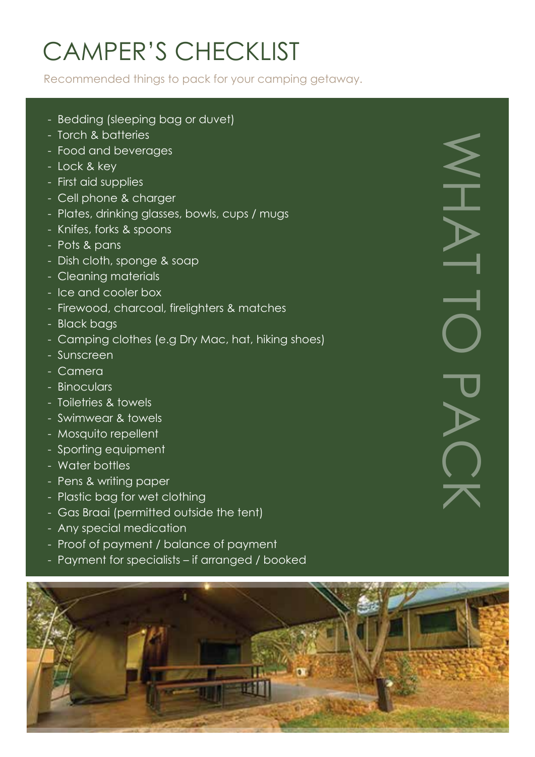# CAMPER'S CHECKLIST

Recommended things to pack for your camping getaway.

- Bedding (sleeping bag or duvet)
- Torch & batteries
- Food and beverages
- Lock & key
- First aid supplies
- Cell phone & charger
- Plates, drinking glasses, bowls, cups / mugs
- Knifes, forks & spoons
- Pots & pans
- Dish cloth, sponge & soap
- Cleaning materials
- Ice and cooler box
- Firewood, charcoal, firelighters & matches
- Black bags
- Camping clothes (e.g Dry Mac, hat, hiking shoes)
- Sunscreen
- Camera
- Binoculars
- Toiletries & towels
- Swimwear & towels
- Mosquito repellent
- Sporting equipment
- Water bottles
- Pens & writing paper
- Plastic bag for wet clothing
- Gas Braai (permitted outside the tent)
- Any special medication
- Proof of payment / balance of payment
- Payment for specialists if arranged / booked